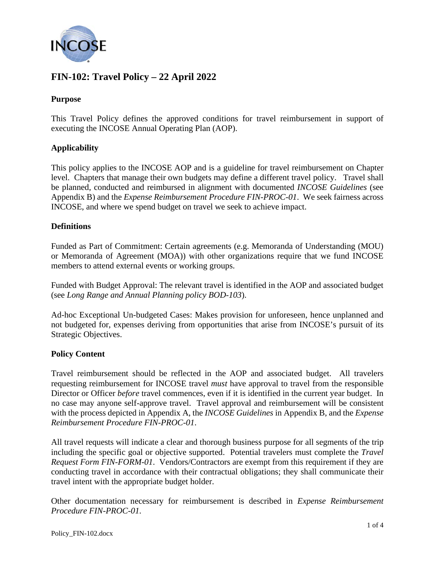

## **FIN-102: Travel Policy – 22 April 2022**

## **Purpose**

This Travel Policy defines the approved conditions for travel reimbursement in support of executing the INCOSE Annual Operating Plan (AOP).

## **Applicability**

This policy applies to the INCOSE AOP and is a guideline for travel reimbursement on Chapter level. Chapters that manage their own budgets may define a different travel policy. Travel shall be planned, conducted and reimbursed in alignment with documented *INCOSE Guidelines* (see Appendix B) and the *Expense Reimbursement Procedure FIN-PROC-01*. We seek fairness across INCOSE, and where we spend budget on travel we seek to achieve impact.

## **Definitions**

Funded as Part of Commitment: Certain agreements (e.g. Memoranda of Understanding (MOU) or Memoranda of Agreement (MOA)) with other organizations require that we fund INCOSE members to attend external events or working groups.

Funded with Budget Approval: The relevant travel is identified in the AOP and associated budget (see *Long Range and Annual Planning policy BOD-103*).

Ad-hoc Exceptional Un-budgeted Cases: Makes provision for unforeseen, hence unplanned and not budgeted for, expenses deriving from opportunities that arise from INCOSE's pursuit of its Strategic Objectives.

## **Policy Content**

Travel reimbursement should be reflected in the AOP and associated budget. All travelers requesting reimbursement for INCOSE travel *must* have approval to travel from the responsible Director or Officer *before* travel commences, even if it is identified in the current year budget. In no case may anyone self-approve travel. Travel approval and reimbursement will be consistent with the process depicted in Appendix A, the *INCOSE Guidelines* in Appendix B, and the *Expense Reimbursement Procedure FIN-PROC-01*.

All travel requests will indicate a clear and thorough business purpose for all segments of the trip including the specific goal or objective supported. Potential travelers must complete the *Travel Request Form FIN-FORM-01*. Vendors/Contractors are exempt from this requirement if they are conducting travel in accordance with their contractual obligations; they shall communicate their travel intent with the appropriate budget holder.

Other documentation necessary for reimbursement is described in *Expense Reimbursement Procedure FIN-PROC-01.*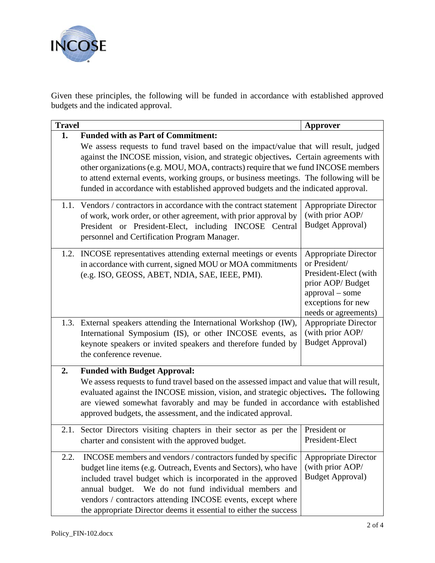

Given these principles, the following will be funded in accordance with established approved budgets and the indicated approval.

| <b>Travel</b> |                                                                                                                                   | Approver                                  |  |
|---------------|-----------------------------------------------------------------------------------------------------------------------------------|-------------------------------------------|--|
| 1.            | <b>Funded with as Part of Commitment:</b><br>We assess requests to fund travel based on the impact/value that will result, judged |                                           |  |
|               | against the INCOSE mission, vision, and strategic objectives. Certain agreements with                                             |                                           |  |
|               | other organizations (e.g. MOU, MOA, contracts) require that we fund INCOSE members                                                |                                           |  |
|               | to attend external events, working groups, or business meetings. The following will be                                            |                                           |  |
|               | funded in accordance with established approved budgets and the indicated approval.                                                |                                           |  |
|               | 1.1. Vendors / contractors in accordance with the contract statement                                                              | <b>Appropriate Director</b>               |  |
|               | of work, work order, or other agreement, with prior approval by                                                                   | (with prior AOP/                          |  |
|               | President or President-Elect, including INCOSE Central                                                                            | <b>Budget Approval)</b>                   |  |
|               | personnel and Certification Program Manager.                                                                                      |                                           |  |
|               | 1.2. INCOSE representatives attending external meetings or events                                                                 | <b>Appropriate Director</b>               |  |
|               | in accordance with current, signed MOU or MOA commitments                                                                         | or President/                             |  |
|               | (e.g. ISO, GEOSS, ABET, NDIA, SAE, IEEE, PMI).                                                                                    | President-Elect (with<br>prior AOP/Budget |  |
|               |                                                                                                                                   | $approd - some$                           |  |
|               |                                                                                                                                   | exceptions for new                        |  |
|               |                                                                                                                                   | needs or agreements)                      |  |
|               | 1.3. External speakers attending the International Workshop (IW),                                                                 | <b>Appropriate Director</b>               |  |
|               | International Symposium (IS), or other INCOSE events, as                                                                          | (with prior AOP/                          |  |
|               | keynote speakers or invited speakers and therefore funded by<br>the conference revenue.                                           | <b>Budget Approval)</b>                   |  |
| 2.            | <b>Funded with Budget Approval:</b>                                                                                               |                                           |  |
|               | We assess requests to fund travel based on the assessed impact and value that will result,                                        |                                           |  |
|               | evaluated against the INCOSE mission, vision, and strategic objectives. The following                                             |                                           |  |
|               | are viewed somewhat favorably and may be funded in accordance with established                                                    |                                           |  |
|               | approved budgets, the assessment, and the indicated approval.                                                                     |                                           |  |
|               | 2.1. Sector Directors visiting chapters in their sector as per the                                                                | President or                              |  |
|               | charter and consistent with the approved budget.                                                                                  | President-Elect                           |  |
| 2.2.          | INCOSE members and vendors / contractors funded by specific                                                                       | <b>Appropriate Director</b>               |  |
|               | budget line items (e.g. Outreach, Events and Sectors), who have                                                                   | (with prior AOP/                          |  |
|               | included travel budget which is incorporated in the approved                                                                      | <b>Budget Approval)</b>                   |  |
|               | We do not fund individual members and<br>annual budget.                                                                           |                                           |  |
|               | vendors / contractors attending INCOSE events, except where                                                                       |                                           |  |
|               | the appropriate Director deems it essential to either the success                                                                 |                                           |  |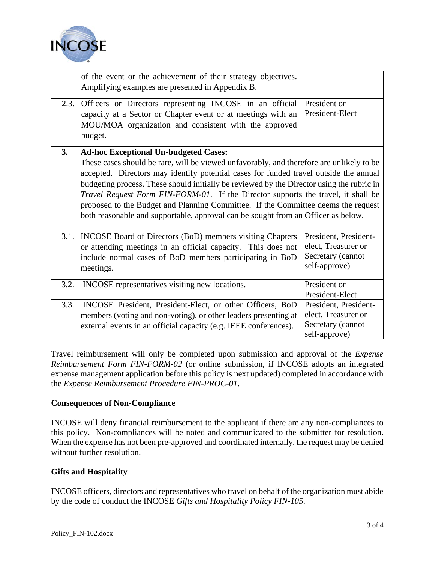

|      | of the event or the achievement of their strategy objectives.<br>Amplifying examples are presented in Appendix B.                                                                                                                                                                                                                                                                                                                                                                                                                                                                             |                                                                                    |
|------|-----------------------------------------------------------------------------------------------------------------------------------------------------------------------------------------------------------------------------------------------------------------------------------------------------------------------------------------------------------------------------------------------------------------------------------------------------------------------------------------------------------------------------------------------------------------------------------------------|------------------------------------------------------------------------------------|
| 2.3. | Officers or Directors representing INCOSE in an official<br>capacity at a Sector or Chapter event or at meetings with an<br>MOU/MOA organization and consistent with the approved<br>budget.                                                                                                                                                                                                                                                                                                                                                                                                  | President or<br>President-Elect                                                    |
| 3.   | <b>Ad-hoc Exceptional Un-budgeted Cases:</b><br>These cases should be rare, will be viewed unfavorably, and therefore are unlikely to be<br>accepted. Directors may identify potential cases for funded travel outside the annual<br>budgeting process. These should initially be reviewed by the Director using the rubric in<br>Travel Request Form FIN-FORM-01. If the Director supports the travel, it shall be<br>proposed to the Budget and Planning Committee. If the Committee deems the request<br>both reasonable and supportable, approval can be sought from an Officer as below. |                                                                                    |
|      | 3.1. INCOSE Board of Directors (BoD) members visiting Chapters<br>or attending meetings in an official capacity. This does not<br>include normal cases of BoD members participating in BoD<br>meetings.                                                                                                                                                                                                                                                                                                                                                                                       | President, President-<br>elect, Treasurer or<br>Secretary (cannot<br>self-approve) |
| 3.2. | INCOSE representatives visiting new locations.                                                                                                                                                                                                                                                                                                                                                                                                                                                                                                                                                | President or<br>President-Elect                                                    |
| 3.3. | INCOSE President, President-Elect, or other Officers, BoD<br>members (voting and non-voting), or other leaders presenting at<br>external events in an official capacity (e.g. IEEE conferences).                                                                                                                                                                                                                                                                                                                                                                                              | President, President-<br>elect, Treasurer or<br>Secretary (cannot<br>self-approve) |

Travel reimbursement will only be completed upon submission and approval of the *Expense Reimbursement Form FIN-FORM-02* (or online submission, if INCOSE adopts an integrated expense management application before this policy is next updated) completed in accordance with the *Expense Reimbursement Procedure FIN-PROC-01*.

## **Consequences of Non-Compliance**

INCOSE will deny financial reimbursement to the applicant if there are any non-compliances to this policy. Non-compliances will be noted and communicated to the submitter for resolution. When the expense has not been pre-approved and coordinated internally, the request may be denied without further resolution.

## **Gifts and Hospitality**

INCOSE officers, directors and representatives who travel on behalf of the organization must abide by the code of conduct the INCOSE *Gifts and Hospitality Policy FIN-105*.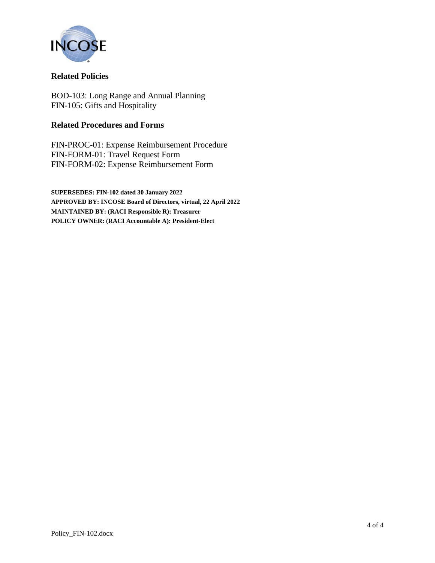

## **Related Policies**

BOD-103: Long Range and Annual Planning FIN-105: Gifts and Hospitality

## **Related Procedures and Forms**

FIN-PROC-01: Expense Reimbursement Procedure FIN-FORM-01: Travel Request Form FIN-FORM-02: Expense Reimbursement Form

**SUPERSEDES: FIN-102 dated 30 January 2022 APPROVED BY: INCOSE Board of Directors, virtual, 22 April 2022 MAINTAINED BY: (RACI Responsible R): Treasurer POLICY OWNER: (RACI Accountable A): President-Elect**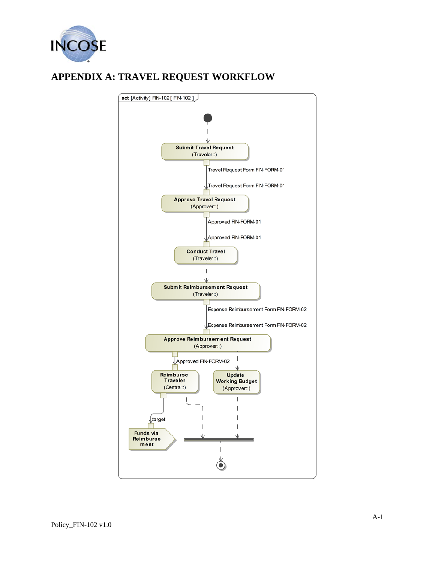

# **APPENDIX A: TRAVEL REQUEST WORKFLOW**

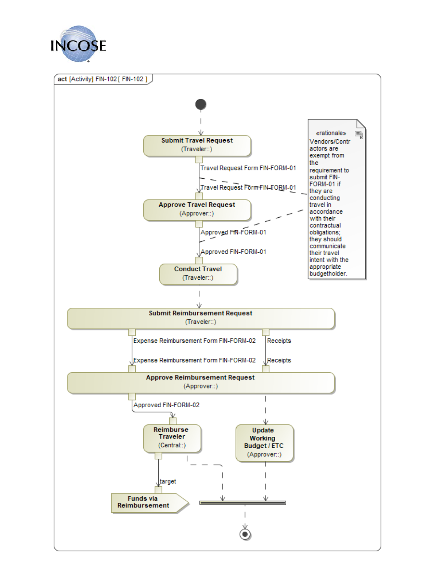

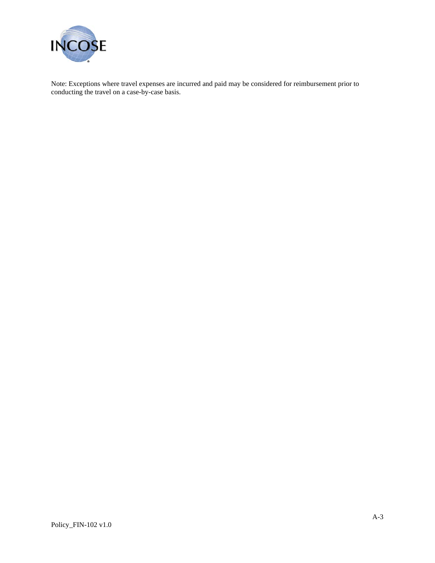

Note: Exceptions where travel expenses are incurred and paid may be considered for reimbursement prior to conducting the travel on a case-by-case basis.